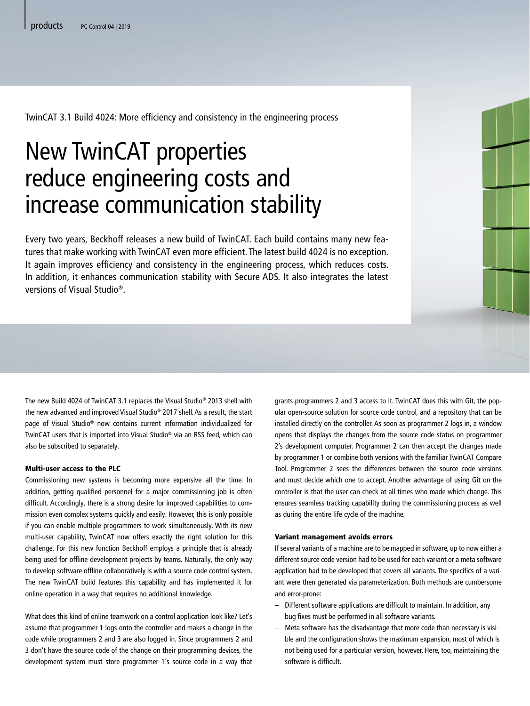TwinCAT 3.1 Build 4024: More efficiency and consistency in the engineering process

# New TwinCAT properties reduce engineering costs and increase communication stability

Every two years, Beckhoff releases a new build of TwinCAT. Each build contains many new features that make working with TwinCAT even more efficient. The latest build 4024 is no exception. It again improves efficiency and consistency in the engineering process, which reduces costs. In addition, it enhances communication stability with Secure ADS. It also integrates the latest versions of Visual Studio®.

The new Build 4024 of TwinCAT 3.1 replaces the Visual Studio® 2013 shell with the new advanced and improved Visual Studio® 2017 shell. As a result, the start page of Visual Studio® now contains current information individualized for TwinCAT users that is imported into Visual Studio® via an RSS feed, which can also be subscribed to separately.

## Multi-user access to the PLC

Commissioning new systems is becoming more expensive all the time. In addition, getting qualified personnel for a major commissioning job is often difficult. Accordingly, there is a strong desire for improved capabilities to commission even complex systems quickly and easily. However, this is only possible if you can enable multiple programmers to work simultaneously. With its new multi-user capability, TwinCAT now offers exactly the right solution for this challenge. For this new function Beckhoff employs a principle that is already being used for offline development projects by teams. Naturally, the only way to develop software offline collaboratively is with a source code control system. The new TwinCAT build features this capability and has implemented it for online operation in a way that requires no additional knowledge.

What does this kind of online teamwork on a control application look like? Let's assume that programmer 1 logs onto the controller and makes a change in the code while programmers 2 and 3 are also logged in. Since programmers 2 and 3 don't have the source code of the change on their programming devices, the development system must store programmer 1's source code in a way that grants programmers 2 and 3 access to it. TwinCAT does this with Git, the popular open-source solution for source code control, and a repository that can be installed directly on the controller. As soon as programmer 2 logs in, a window opens that displays the changes from the source code status on programmer 2's development computer. Programmer 2 can then accept the changes made by programmer 1 or combine both versions with the familiar TwinCAT Compare Tool. Programmer 2 sees the differences between the source code versions and must decide which one to accept. Another advantage of using Git on the controller is that the user can check at all times who made which change. This ensures seamless tracking capability during the commissioning process as well as during the entire life cycle of the machine.

# Variant management avoids errors

If several variants of a machine are to be mapped in software, up to now either a different source code version had to be used for each variant or a meta software application had to be developed that covers all variants. The specifics of a variant were then generated via parameterization. Both methods are cumbersome and error-prone:

- Different software applications are difficult to maintain. In addition, any bug fixes must be performed in all software variants.
- Meta software has the disadvantage that more code than necessary is visible and the configuration shows the maximum expansion, most of which is not being used for a particular version, however. Here, too, maintaining the software is difficult.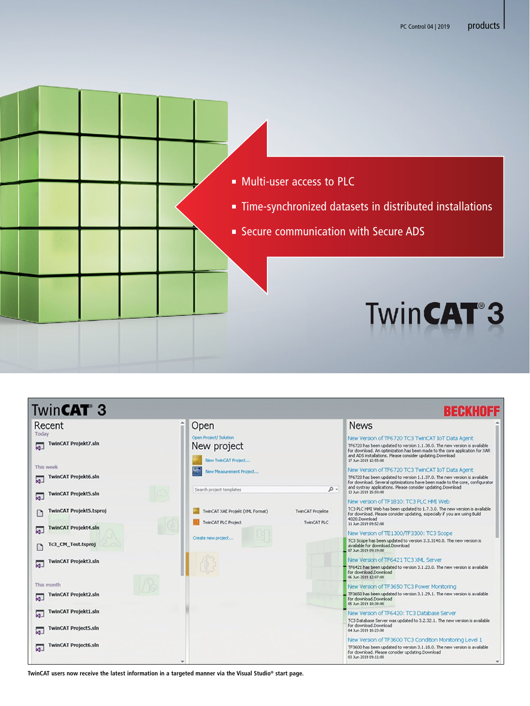



**TwinCAT users now receive the latest information in a targeted manner via the Visual Studio® start page.**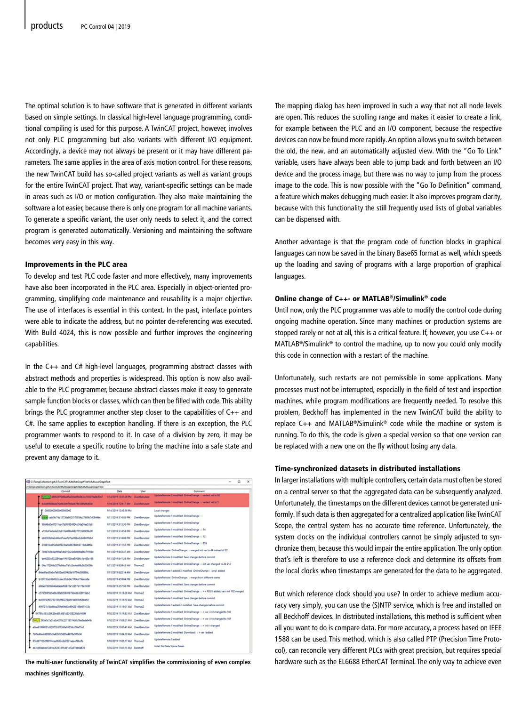The optimal solution is to have software that is generated in different variants based on simple settings. In classical high-level language programming, conditional compiling is used for this purpose. A TwinCAT project, however, involves not only PLC programming but also variants with different I/O equipment. Accordingly, a device may not always be present or it may have different parameters. The same applies in the area of axis motion control. For these reasons, the new TwinCAT build has so-called project variants as well as variant groups for the entire TwinCAT project. That way, variant-specific settings can be made in areas such as I/O or motion configuration. They also make maintaining the software a lot easier, because there is only one program for all machine variants. To generate a specific variant, the user only needs to select it, and the correct program is generated automatically. Versioning and maintaining the software becomes very easy in this way.

# Improvements in the PLC area

To develop and test PLC code faster and more effectively, many improvements have also been incorporated in the PLC area. Especially in object-oriented programming, simplifying code maintenance and reusability is a major objective. The use of interfaces is essential in this context. In the past, interface pointers were able to indicate the address, but no pointer de-referencing was executed. With Build 4024, this is now possible and further improves the engineering capabilities.

In the C++ and C# high-level languages, programming abstract classes with abstract methods and properties is widespread. This option is now also available to the PLC programmer, because abstract classes make it easy to generate sample function blocks or classes, which can then be filled with code. This ability brings the PLC programmer another step closer to the capabilities of C++ and C#. The same applies to exception handling. If there is an exception, the PLC programmer wants to respond to it. In case of a division by zero, it may be useful to execute a specific routine to bring the machine into a safe state and prevent any damage to it.

| ChTempCollectionI.git\2\TwinCATMultil/serGraphTestMultiuserGraphTest |                                     |               |                                                                              |
|----------------------------------------------------------------------|-------------------------------------|---------------|------------------------------------------------------------------------------|
| Commit                                                               | Date                                | User          | Commant                                                                      |
| 48952970d9eaf5a030a95b0b3cc103079a8b5367                             | 1/14/2019 12:57:29 PM ZweitEerutzer |               | UpdateRemote 2 modified OnlineChange : : vartest set to 92                   |
| 6c6d6f928bde76e6b3e9764ad679e536faf6d00e                             | 1/14/2019 7/29:17 AM ZweitBenutzer  |               | UpdateRemote 1 modified OnlineChange : : vartest set to 5                    |
| 0000000000000000000                                                  | 1/14/2019 12:50:50 PM               |               | Local changes                                                                |
| wall_catche74b12738a6621577854a27689c7d08444e                        | 1/11/2019 3:16:05 PM                | ZweitBenutzer | UpdateRemote 1 modified OnlineChange : :                                     |
| 96646d0e61511cc47d0f0324804cf36a56ea55b8                             | 1/11/2019 3:15:30 PM                | ZweitBenutzer | UpdateRemote 1 modified OnlineChange                                         |
| a73fo41bOdde32b811d498b44827072e9909b3#                              | M11/2019 3:14:58 PM                 | ZueitBenutzer | UpdateRemote 1 modified OnlineChange: : 14                                   |
| db6503b9a2d46e07cea7d7be938a2c0d84fffd64                             | 1/11/2019 3:14:08 PM                | Zawitkenutzer | UpdateRemote 1 modified OnlineChange: : 12                                   |
| 278810ce95e9a6fd23ba9e867840c9719cb44f0a                             | MR FATE 6100/ENT                    | ZweitBenutzer | UpdateRemote 1 modified OnlineChange: : 555                                  |
| 709e7b5b3aef69a1db010c34eb0d98ba96c71958e                            | MA TEEM 0100/11/17                  | Zawithenutzer | UpdateRemote OnlineChange: : merged init var to 44 instead of 22             |
| def6255a322294aad146520ad95066c1d480a168                             | 1/11/2019 8:41:28 AM                | ZweitBenutzer | UpdateRemote 3 modified Save changes before commit                           |
| Ofac172568b207680dcc7d1a2bded69c5b20624b                             | 1/11/2019 8:39:45 AM                | Thomas2       | UpdateRemote 3 modified OnlineChange : : init var changed to 22 212          |
| B4ae9fad3fafa7e630aa65642fla16774e260886c                            | 1/11/2019 8:22:14 AM                | ZweitBenutzer | UpdateRemote 1 added 2 modified OnlineChange: : prg1 added                   |
| b181733eb960622ceee35cb6421fO4af79eece8a                             | MR 80028-01002011                   | Zanithenutzer | UpdateRemote OnlineChange : : merge from different states                    |
| dOSad7305b04daSadaf63872e12257b178e3fe97                             | 1/10/2019 2:57:50 PM                | ZweitBenutzer | UpdateRemote 1 modified Save changes before commit                           |
| c579769f5d5e6b28fa920831876dedb326f19eb2                             | 1/10/2019 11:18:26 AM Thomas2       |               | UpdateRemote 1 modified OnlineChange: : >> POU1 added, var i init 102 merged |
| bc85150967252105c000229a0fc5e361cf08be92                             | 1/10/2019 11:16:10 AM ThomasZ       |               | UpdateRemote 1 modified Save changes before commit                           |
| 499721c18a44ea259e49e63e49422169b611f33c                             | 1/10/2019 11:1601 AM Thomas2        |               | UpdateRemote 1 added 2 modified Save changes before commit                   |
| 94784a153c29629ad85c981c80455226a9c4696f                             | 1/10/2019 11:14:53 AM Zweitlerutzer |               | UpdateRemote 1 modified OnlineChange: : > vari init changed to 102           |
| AG 1 393e0c7a21e3c4570c22718574b0c76e8ade64fb                        | 1/10/2019 11:08:21 AM ZweitBenutzer |               | UpdateRemote 2 modified OnlineChange: : > vari init changed to 101           |
| eQue81999051d35077b5f7366a03558cc70a77e2                             | 1/10/2019 11:07:41 AM ZweitBenutzer |               | UpdateRemote 1 modified OnlineChange : : > init i changed                    |
| 7bf0e46eddff385cfa4292d5605e4878e9ff0cf4                             | 1/10/2019 11:04:20 AM ZweitBenutzer |               | UodateRemote 2 modified Download : : > var i added                           |
| 97cd871552f801f4cee0633e3d2531adae18bcfb                             | 1/10/2019 11:01:17 AM Thomas2       |               | UpdateRemote 5 added                                                         |
| dE7090belle45341b262674154d1e12af7db8a639                            | 1/10/2019 11:01:15 AM Beckhoff      |               | Inital: No Data/ Keine Daten                                                 |

**The multi-user functionality of TwinCAT simplifies the commissioning of even complex machines significantly.**

The mapping dialog has been improved in such a way that not all node levels are open. This reduces the scrolling range and makes it easier to create a link, for example between the PLC and an I/O component, because the respective devices can now be found more rapidly. An option allows you to switch between the old, the new, and an automatically adjusted view. With the "Go To Link" variable, users have always been able to jump back and forth between an I/O device and the process image, but there was no way to jump from the process image to the code. This is now possible with the "Go To Definition" command, a feature which makes debugging much easier. It also improves program clarity, because with this functionality the still frequently used lists of global variables can be dispensed with.

Another advantage is that the program code of function blocks in graphical languages can now be saved in the binary Base65 format as well, which speeds up the loading and saving of programs with a large proportion of graphical languages.

#### Online change of C++- or MATLAB®/Simulink® code

Until now, only the PLC programmer was able to modify the control code during ongoing machine operation. Since many machines or production systems are stopped rarely or not at all, this is a critical feature. If, however, you use C++ or MATLAB®/Simulink® to control the machine, up to now you could only modify this code in connection with a restart of the machine.

Unfortunately, such restarts are not permissible in some applications. Many processes must not be interrupted, especially in the field of test and inspection machines, while program modifications are frequently needed. To resolve this problem, Beckhoff has implemented in the new TwinCAT build the ability to replace C++ and MATLAB®/Simulink® code while the machine or system is running. To do this, the code is given a special version so that one version can be replaced with a new one on the fly without losing any data.

## Time-synchronized datasets in distributed installations

In larger installations with multiple controllers, certain data must often be stored on a central server so that the aggregated data can be subsequently analyzed. Unfortunately, the timestamps on the different devices cannot be generated uniformly. If such data is then aggregated for a centralized application like TwinCAT Scope, the central system has no accurate time reference. Unfortunately, the system clocks on the individual controllers cannot be simply adjusted to synchronize them, because this would impair the entire application. The only option that's left is therefore to use a reference clock and determine its offsets from the local clocks when timestamps are generated for the data to be aggregated.

But which reference clock should you use? In order to achieve medium accuracy very simply, you can use the (S)NTP service, which is free and installed on all Beckhoff devices. In distributed installations, this method is sufficient when all you want to do is compare data. For more accuracy, a process based on IEEE 1588 can be used. This method, which is also called PTP (Precision Time Protocol), can reconcile very different PLCs with great precision, but requires special hardware such as the EL6688 EtherCAT Terminal. The only way to achieve even